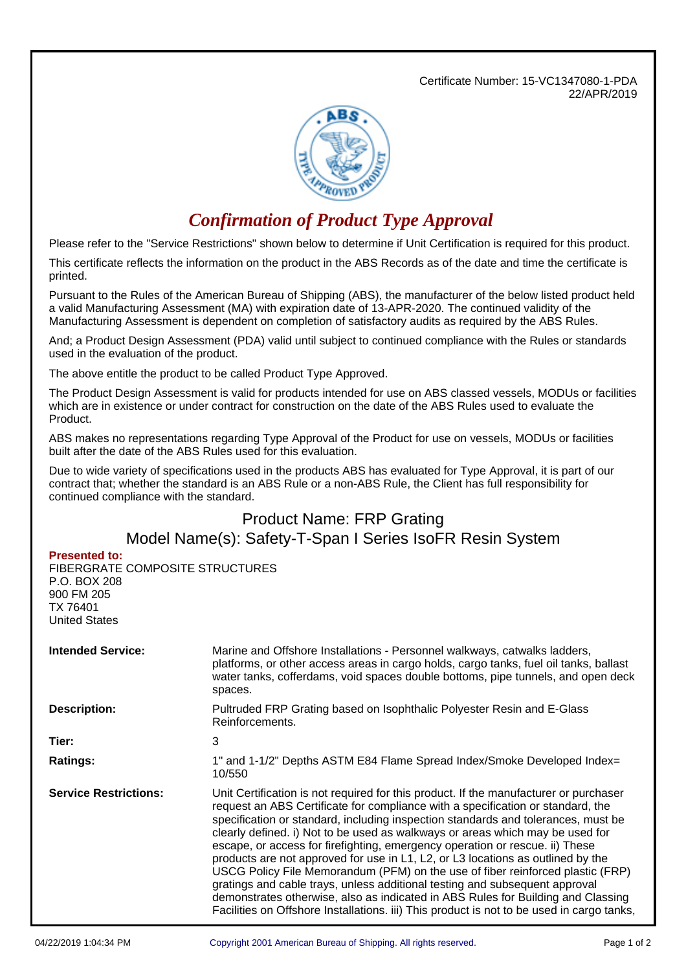Certificate Number: 15-VC1347080-1-PDA 22/APR/2019



## *Confirmation of Product Type Approval*

Please refer to the "Service Restrictions" shown below to determine if Unit Certification is required for this product.

This certificate reflects the information on the product in the ABS Records as of the date and time the certificate is printed.

Pursuant to the Rules of the American Bureau of Shipping (ABS), the manufacturer of the below listed product held a valid Manufacturing Assessment (MA) with expiration date of 13-APR-2020. The continued validity of the Manufacturing Assessment is dependent on completion of satisfactory audits as required by the ABS Rules.

And; a Product Design Assessment (PDA) valid until subject to continued compliance with the Rules or standards used in the evaluation of the product.

The above entitle the product to be called Product Type Approved.

The Product Design Assessment is valid for products intended for use on ABS classed vessels, MODUs or facilities which are in existence or under contract for construction on the date of the ABS Rules used to evaluate the Product.

ABS makes no representations regarding Type Approval of the Product for use on vessels, MODUs or facilities built after the date of the ABS Rules used for this evaluation.

Due to wide variety of specifications used in the products ABS has evaluated for Type Approval, it is part of our contract that; whether the standard is an ABS Rule or a non-ABS Rule, the Client has full responsibility for continued compliance with the standard.

## Product Name: FRP Grating Model Name(s): Safety-T-Span I Series IsoFR Resin System

## **Presented to:**

FIBERGRATE COMPOSITE STRUCTURES P.O. BOX 208 900 FM 205 TX 76401 United States

| <b>Intended Service:</b>     | Marine and Offshore Installations - Personnel walkways, catwalks ladders,<br>platforms, or other access areas in cargo holds, cargo tanks, fuel oil tanks, ballast<br>water tanks, cofferdams, void spaces double bottoms, pipe tunnels, and open deck<br>spaces.                                                                                                                                                                                                                                                                                                                                                                                                                                                                                                                                                                                                   |  |
|------------------------------|---------------------------------------------------------------------------------------------------------------------------------------------------------------------------------------------------------------------------------------------------------------------------------------------------------------------------------------------------------------------------------------------------------------------------------------------------------------------------------------------------------------------------------------------------------------------------------------------------------------------------------------------------------------------------------------------------------------------------------------------------------------------------------------------------------------------------------------------------------------------|--|
| <b>Description:</b>          | Pultruded FRP Grating based on Isophthalic Polyester Resin and E-Glass<br>Reinforcements.                                                                                                                                                                                                                                                                                                                                                                                                                                                                                                                                                                                                                                                                                                                                                                           |  |
| Tier:                        | 3                                                                                                                                                                                                                                                                                                                                                                                                                                                                                                                                                                                                                                                                                                                                                                                                                                                                   |  |
| <b>Ratings:</b>              | 1" and 1-1/2" Depths ASTM E84 Flame Spread Index/Smoke Developed Index=<br>10/550                                                                                                                                                                                                                                                                                                                                                                                                                                                                                                                                                                                                                                                                                                                                                                                   |  |
| <b>Service Restrictions:</b> | Unit Certification is not required for this product. If the manufacturer or purchaser<br>request an ABS Certificate for compliance with a specification or standard, the<br>specification or standard, including inspection standards and tolerances, must be<br>clearly defined. i) Not to be used as walkways or areas which may be used for<br>escape, or access for firefighting, emergency operation or rescue. ii) These<br>products are not approved for use in L1, L2, or L3 locations as outlined by the<br>USCG Policy File Memorandum (PFM) on the use of fiber reinforced plastic (FRP)<br>gratings and cable trays, unless additional testing and subsequent approval<br>demonstrates otherwise, also as indicated in ABS Rules for Building and Classing<br>Facilities on Offshore Installations. iii) This product is not to be used in cargo tanks, |  |